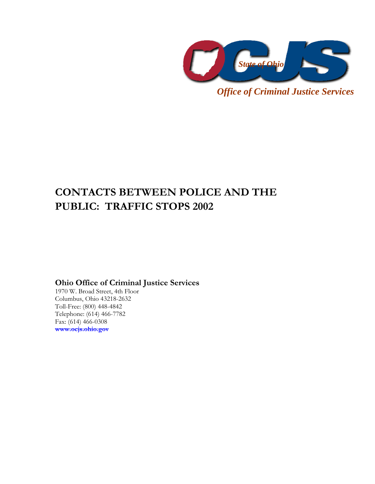

*Office of Criminal Justice Services* 

# **CONTACTS BETWEEN POLICE AND THE PUBLIC: TRAFFIC STOPS 2002**

**Ohio Office of Criminal Justice Services** 

1970 W. Broad Street, 4th Floor Columbus, Ohio 43218-2632 Toll-Free: (800) 448-4842 Telephone: (614) 466-7782 Fax: (614) 466-0308 **www.ocjs.ohio.gov**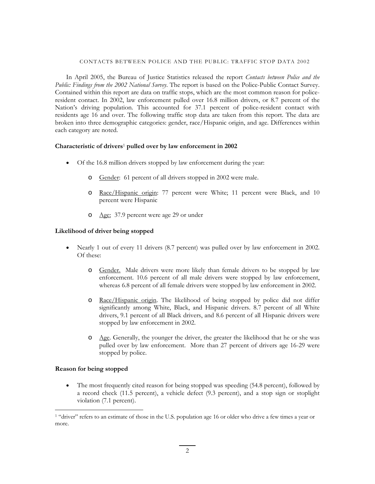#### CONTACTS BETWEEN POLICE AND THE PUBLIC: TRAFFIC STOP DATA 2002

In April 2005, the Bureau of Justice Statistics released the report *Contacts between Police and the Public: Findings from the 2002 National Survey*. The report is based on the Police-Public Contact Survey. Contained within this report are data on traffic stops, which are the most common reason for policeresident contact. In 2002, law enforcement pulled over 16.8 million drivers, or 8.7 percent of the Nation's driving population. This accounted for 37.1 percent of police-resident contact with residents age 16 and over. The following traffic stop data are taken from this report. The data are broken into three demographic categories: gender, race/Hispanic origin, and age. Differences within each category are noted.

## **Characteristic of drivers**1 **pulled over by law enforcement in 2002**

- Of the 16.8 million drivers stopped by law enforcement during the year:
	- o Gender: 61 percent of all drivers stopped in 2002 were male.
	- o Race/Hispanic origin: 77 percent were White; 11 percent were Black, and 10 percent were Hispanic
	- o Age: 37.9 percent were age 29 or under

## **Likelihood of driver being stopped**

- Nearly 1 out of every 11 drivers (8.7 percent) was pulled over by law enforcement in 2002. Of these:
	- o Gender. Male drivers were more likely than female drivers to be stopped by law enforcement. 10.6 percent of all male drivers were stopped by law enforcement, whereas 6.8 percent of all female drivers were stopped by law enforcement in 2002.
	- o Race/Hispanic origin. The likelihood of being stopped by police did not differ significantly among White, Black, and Hispanic drivers. 8.7 percent of all White drivers, 9.1 percent of all Black drivers, and 8.6 percent of all Hispanic drivers were stopped by law enforcement in 2002.
	- $\circ$  Age. Generally, the younger the driver, the greater the likelihood that he or she was pulled over by law enforcement. More than 27 percent of drivers age 16-29 were stopped by police.

#### **Reason for being stopped**

<u>.</u>

• The most frequently cited reason for being stopped was speeding (54.8 percent), followed by a record check (11.5 percent), a vehicle defect (9.3 percent), and a stop sign or stoplight violation (7.1 percent).

<sup>&</sup>lt;sup>1</sup> "driver" refers to an estimate of those in the U.S. population age 16 or older who drive a few times a year or more.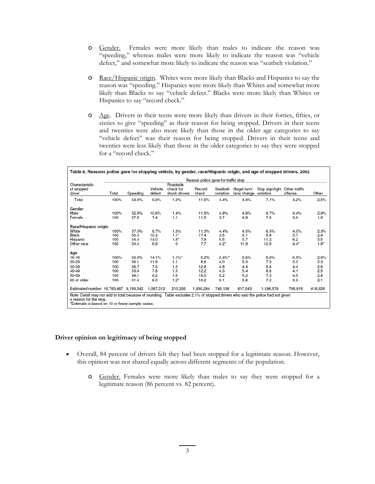- o Gender. Females were more likely than males to indicate the reason was "speeding," whereas males were more likely to indicate the reason was "vehicle defect," and somewhat more likely to indicate the reason was "seatbelt violation."
- o Race/Hispanic origin. Whites were more likely than Blacks and Hispanics to say the reason was "speeding." Hispanics were more likely than Whites and somewhat more likely than Blacks to say "vehicle defect." Blacks were more likely than Whites or Hispanics to say "record check."
- o Age. Drivers in their teens were more likely than drivers in their forties, fifties, or sixties to give "speeding" as their reason for being stopped. Drivers in their teens and twenties were also more likely than those in the older age categories to say "vehicle defect" was their reason for being stopped. Drivers in their teens and twenties were less likely than those in the older categories to say they were stopped for a "record check."

| Characteristic<br>of stopped<br>driver | Reason police gave for traffic stop |                                       |                   |                                        |                 |                       |                                        |                               |         |         |  |
|----------------------------------------|-------------------------------------|---------------------------------------|-------------------|----------------------------------------|-----------------|-----------------------|----------------------------------------|-------------------------------|---------|---------|--|
|                                        | Total                               | Speeding                              | Vehicle<br>defect | Roadside<br>check for<br>drunk drivers | Record<br>check | Seatbelt<br>violation | Illegal turn∕<br>lane change violation | Stop sign/light Other traffic | offense | Other   |  |
| Total                                  | 100%                                | 54.8%                                 | 9.3%              | 1.3%                                   | 11.5%           | 4.4%                  | 4.9%                                   | 7.1%                          | 4.2%    | 2.5%    |  |
| Gender                                 |                                     |                                       |                   |                                        |                 |                       |                                        |                               |         |         |  |
| Male                                   | 100%                                | 52.8%                                 | 10.6%             | 1.4%                                   | 11.5%           | 4.8%                  | 4.9%                                   | 6.7%                          | 4.4%    | 2.9%    |  |
| Female                                 | 100                                 | 57.9                                  | 7.4               | 1.1                                    | 11.5            | 3.7                   | 4.9                                    | 7.6                           | 3.9     | 1.9     |  |
| Race/Hispanic origin                   |                                     |                                       |                   |                                        |                 |                       |                                        |                               |         |         |  |
| White                                  | 100%                                | 57.0%                                 | 8.7%              | 1.3%                                   | 11.3%           | 4.4%                  | 4.5%                                   | 6.5%                          | 4.0%    | 2.3%    |  |
| Black                                  | 100                                 | 50.0                                  | 10.3              | $1.1^*$                                | 17.4            | 3.5                   | 5.1                                    | 5.9                           | 3.7     | 2.9     |  |
| Hispanic                               | 100                                 | 44.4                                  | 14.0              | $1.6*$                                 | 7.8             | 5.5                   | 5.7                                    | 11.2                          | 6.2     | 3.5     |  |
| Other race                             | 100                                 | 50.0                                  | 6.9               | $\Omega$                               | 7.7             | $4.2^*$               | 11.9                                   | 12.9                          | $4.4*$  | $1.8^*$ |  |
| Age                                    |                                     |                                       |                   |                                        |                 |                       |                                        |                               |         |         |  |
| 16-19                                  | 100%                                | 59.6%                                 | 14.1%             | $1.1\%$                                | 5.2%            | $2.4\%$ *             | 2.6%                                   | 5.6%                          | 6.5%    | 2.9%    |  |
| 20-29                                  | 100                                 | 56.1                                  | 11.9              | 1.1                                    | 8.8             | 4.0                   | 5.3                                    | 7.3                           | 3.3     | 2.3     |  |
| 30-39                                  | 100                                 | 56.7                                  | 7.3               | 1.3                                    | 12.8            | 4.8                   | 4.4                                    | 5.8                           | 4.4     | 2.6     |  |
| 40-49                                  | 100                                 | 53.4                                  | 7.8               | 1.5                                    | 12.2            | 4.3                   | 5.4                                    | 8.8                           | 4.1     | 2.5     |  |
| 50-59                                  | 100                                 | 49.1                                  | 8.2               | 1.6                                    | 16.0            | 5.2                   | 5.2                                    | 7.3                           | 4.5     | 2.8     |  |
| 60 or older                            | 100                                 | 51.4                                  | 6.0               | $1.2^*$                                | 16.2            | 6.1                   | 5.8                                    | 7.2                           | 3.9     | 2.1     |  |
|                                        |                                     | Estimated number 16,783,467 9,199,342 | 1,567,312         | 215,326                                | 1,930,284       | 740,136               | 817,543                                | 1,186,578                     | 708,918 | 418,028 |  |

# **Driver opinion on legitimacy of being stopped**

- Overall, 84 percent of drivers felt they had been stopped for a legitimate reason. However, this opinion was not shared equally across different segments of the population.
	- o Gender. Females were more likely than males to say they were stopped for a legitimate reason (86 percent vs. 82 percent).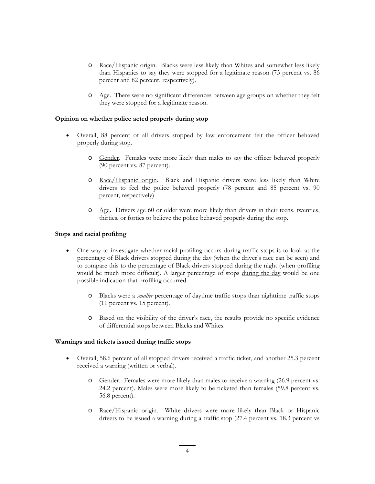- o Race/Hispanic origin. Blacks were less likely than Whites and somewhat less likely than Hispanics to say they were stopped for a legitimate reason (73 percent vs. 86 percent and 82 percent, respectively).
- o Age. There were no significant differences between age groups on whether they felt they were stopped for a legitimate reason.

# **Opinion on whether police acted properly during stop**

- Overall, 88 percent of all drivers stopped by law enforcement felt the officer behaved properly during stop.
	- o Gender. Females were more likely than males to say the officer behaved properly (90 percent vs. 87 percent).
	- o Race/Hispanic origin. Black and Hispanic drivers were less likely than White drivers to feel the police behaved properly (78 percent and 85 percent vs. 90 percent, respectively)
	- o Age**.** Drivers age 60 or older were more likely than drivers in their teens, twenties, thirties, or forties to believe the police behaved properly during the stop.

# **Stops and racial profiling**

- One way to investigate whether racial profiling occurs during traffic stops is to look at the percentage of Black drivers stopped during the day (when the driver's race can be seen) and to compare this to the percentage of Black drivers stopped during the night (when profiling would be much more difficult). A larger percentage of stops during the day would be one possible indication that profiling occurred.
	- o Blacks were a *smaller* percentage of daytime traffic stops than nighttime traffic stops (11 percent vs. 15 percent).
	- o Based on the visibility of the driver's race, the results provide no specific evidence of differential stops between Blacks and Whites.

# **Warnings and tickets issued during traffic stops**

- Overall, 58.6 percent of all stopped drivers received a traffic ticket, and another 25.3 percent received a warning (written or verbal).
	- o Gender. Females were more likely than males to receive a warning (26.9 percent vs. 24.2 percent). Males were more likely to be ticketed than females (59.8 percent vs. 56.8 percent).
	- o Race/Hispanic origin. White drivers were more likely than Black or Hispanic drivers to be issued a warning during a traffic stop (27.4 percent vs. 18.3 percent vs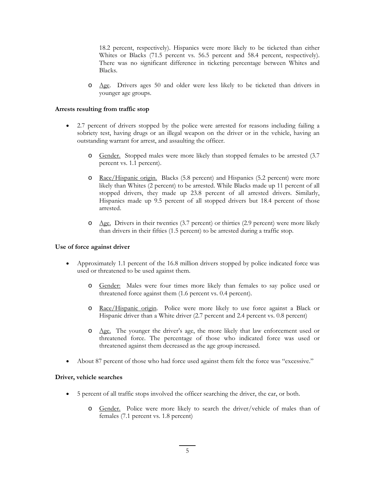18.2 percent, respectively). Hispanics were more likely to be ticketed than either Whites or Blacks (71.5 percent vs. 56.5 percent and 58.4 percent, respectively). There was no significant difference in ticketing percentage between Whites and Blacks.

o Age. Drivers ages 50 and older were less likely to be ticketed than drivers in younger age groups.

# **Arrests resulting from traffic stop**

- 2.7 percent of drivers stopped by the police were arrested for reasons including failing a sobriety test, having drugs or an illegal weapon on the driver or in the vehicle, having an outstanding warrant for arrest, and assaulting the officer.
	- o Gender. Stopped males were more likely than stopped females to be arrested (3.7 percent vs. 1.1 percent).
	- o Race/Hispanic origin. Blacks (5.8 percent) and Hispanics (5.2 percent) were more likely than Whites (2 percent) to be arrested. While Blacks made up 11 percent of all stopped drivers, they made up 23.8 percent of all arrested drivers. Similarly, Hispanics made up 9.5 percent of all stopped drivers but 18.4 percent of those arrested.
	- o Age. Drivers in their twenties (3.7 percent) or thirties (2.9 percent) were more likely than drivers in their fifties (1.5 percent) to be arrested during a traffic stop.

# **Use of force against driver**

- Approximately 1.1 percent of the 16.8 million drivers stopped by police indicated force was used or threatened to be used against them.
	- o Gender: Males were four times more likely than females to say police used or threatened force against them (1.6 percent vs. 0.4 percent).
	- o Race/Hispanic origin. Police were more likely to use force against a Black or Hispanic driver than a White driver (2.7 percent and 2.4 percent vs. 0.8 percent)
	- o Age. The younger the driver's age, the more likely that law enforcement used or threatened force. The percentage of those who indicated force was used or threatened against them decreased as the age group increased.
- About 87 percent of those who had force used against them felt the force was "excessive."

# **Driver, vehicle searches**

- 5 percent of all traffic stops involved the officer searching the driver, the car, or both.
	- o Gender. Police were more likely to search the driver/vehicle of males than of females (7.1 percent vs. 1.8 percent)